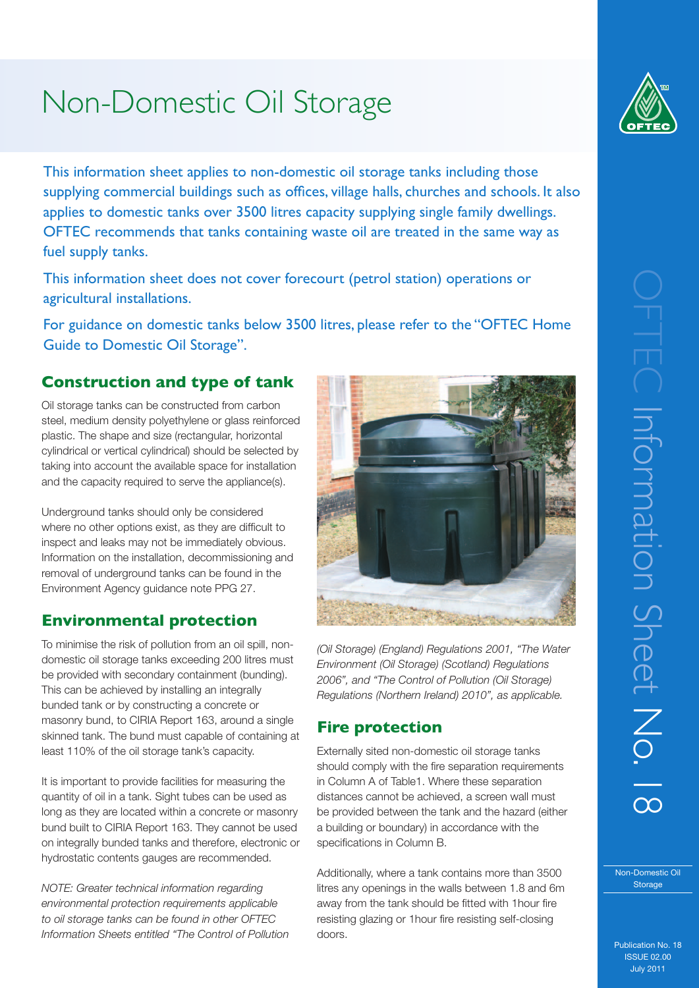# Non-Domestic Oil Storage

This information sheet applies to non-domestic oil storage tanks including those supplying commercial buildings such as offices, village halls, churches and schools. It also applies to domestic tanks over 3500 litres capacity supplying single family dwellings. OFTEC recommends that tanks containing waste oil are treated in the same way as fuel supply tanks.

This information sheet does not cover forecourt (petrol station) operations or agricultural installations.

For guidance on domestic tanks below 3500 litres, please refer to the "OFTEC Home Guide to Domestic Oil Storage".

## **Construction and type of tank**

Oil storage tanks can be constructed from carbon steel, medium density polyethylene or glass reinforced plastic. The shape and size (rectangular, horizontal cylindrical or vertical cylindrical) should be selected by taking into account the available space for installation and the capacity required to serve the appliance(s).

Underground tanks should only be considered where no other options exist, as they are difficult to inspect and leaks may not be immediately obvious. Information on the installation, decommissioning and removal of underground tanks can be found in the Environment Agency guidance note PPG 27.

# **Environmental protection**

To minimise the risk of pollution from an oil spill, nondomestic oil storage tanks exceeding 200 litres must be provided with secondary containment (bunding). This can be achieved by installing an integrally bunded tank or by constructing a concrete or masonry bund, to CIRIA Report 163, around a single skinned tank. The bund must capable of containing at least 110% of the oil storage tank's capacity.

It is important to provide facilities for measuring the quantity of oil in a tank. Sight tubes can be used as long as they are located within a concrete or masonry bund built to CIRIA Report 163. They cannot be used on integrally bunded tanks and therefore, electronic or hydrostatic contents gauges are recommended.

*NOTE: Greater technical information regarding environmental protection requirements applicable to oil storage tanks can be found in other OFTEC Information Sheets entitled "The Control of Pollution* 



# **Fire protection**

Externally sited non-domestic oil storage tanks should comply with the fire separation requirements in Column A of Table1. Where these separation distances cannot be achieved, a screen wall must be provided between the tank and the hazard (either a building or boundary) in accordance with the specifications in Column B.

Additionally, where a tank contains more than 3500 litres any openings in the walls between 1.8 and 6m away from the tank should be fitted with 1hour fire resisting glazing or 1hour fire resisting self-closing doors.



Non-Domestic Oil Storage

Publication No. 18 ISSUE 02.00 July 2011